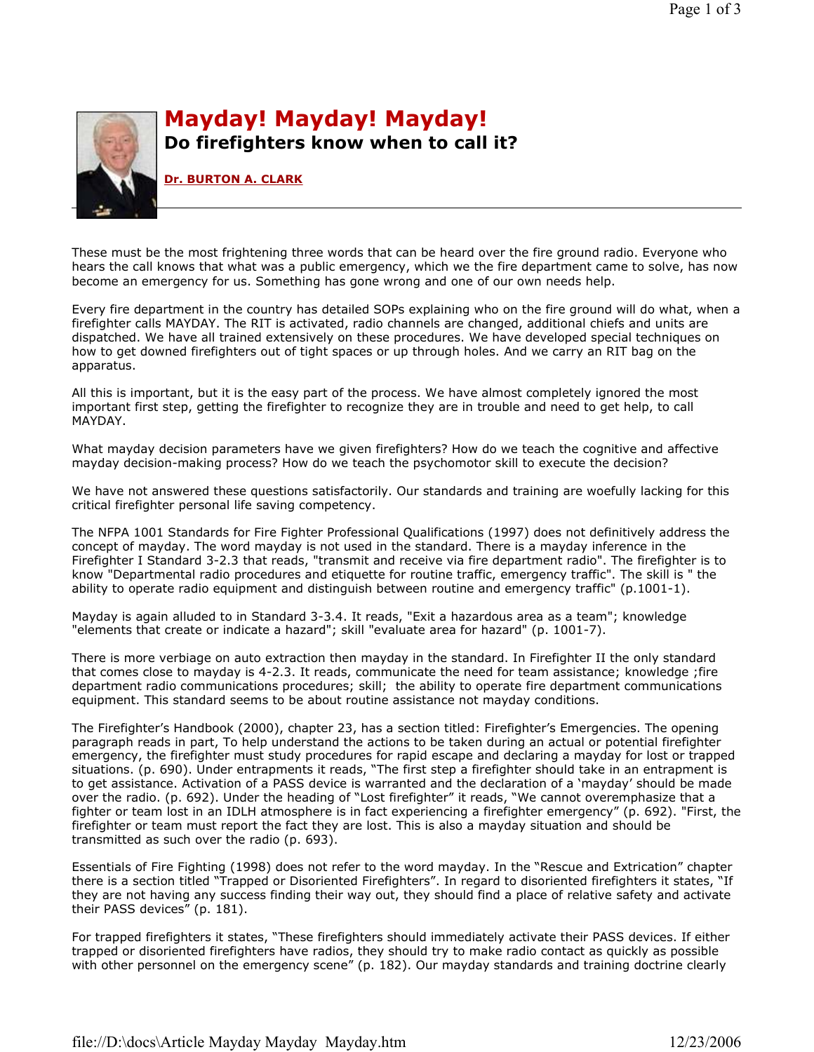

## Mayday! Mayday! Mayday! Do firefighters know when to call it?

Dr. BURTON A. CLARK

These must be the most frightening three words that can be heard over the fire ground radio. Everyone who hears the call knows that what was a public emergency, which we the fire department came to solve, has now become an emergency for us. Something has gone wrong and one of our own needs help.

Every fire department in the country has detailed SOPs explaining who on the fire ground will do what, when a firefighter calls MAYDAY. The RIT is activated, radio channels are changed, additional chiefs and units are dispatched. We have all trained extensively on these procedures. We have developed special techniques on how to get downed firefighters out of tight spaces or up through holes. And we carry an RIT bag on the apparatus.

All this is important, but it is the easy part of the process. We have almost completely ignored the most important first step, getting the firefighter to recognize they are in trouble and need to get help, to call MAYDAY.

What mayday decision parameters have we given firefighters? How do we teach the cognitive and affective mayday decision-making process? How do we teach the psychomotor skill to execute the decision?

We have not answered these questions satisfactorily. Our standards and training are woefully lacking for this critical firefighter personal life saving competency.

The NFPA 1001 Standards for Fire Fighter Professional Qualifications (1997) does not definitively address the concept of mayday. The word mayday is not used in the standard. There is a mayday inference in the Firefighter I Standard 3-2.3 that reads, "transmit and receive via fire department radio". The firefighter is to know "Departmental radio procedures and etiquette for routine traffic, emergency traffic". The skill is " the ability to operate radio equipment and distinguish between routine and emergency traffic" (p.1001-1).

Mayday is again alluded to in Standard 3-3.4. It reads, "Exit a hazardous area as a team"; knowledge "elements that create or indicate a hazard"; skill "evaluate area for hazard" (p. 1001-7).

There is more verbiage on auto extraction then mayday in the standard. In Firefighter II the only standard that comes close to mayday is 4-2.3. It reads, communicate the need for team assistance; knowledge ;fire department radio communications procedures; skill; the ability to operate fire department communications equipment. This standard seems to be about routine assistance not mayday conditions.

The Firefighter's Handbook (2000), chapter 23, has a section titled: Firefighter's Emergencies. The opening paragraph reads in part, To help understand the actions to be taken during an actual or potential firefighter emergency, the firefighter must study procedures for rapid escape and declaring a mayday for lost or trapped situations. (p. 690). Under entrapments it reads, "The first step a firefighter should take in an entrapment is to get assistance. Activation of a PASS device is warranted and the declaration of a 'mayday' should be made over the radio. (p. 692). Under the heading of "Lost firefighter" it reads, "We cannot overemphasize that a fighter or team lost in an IDLH atmosphere is in fact experiencing a firefighter emergency" (p. 692). "First, the firefighter or team must report the fact they are lost. This is also a mayday situation and should be transmitted as such over the radio (p. 693).

Essentials of Fire Fighting (1998) does not refer to the word mayday. In the "Rescue and Extrication" chapter there is a section titled "Trapped or Disoriented Firefighters". In regard to disoriented firefighters it states, "If they are not having any success finding their way out, they should find a place of relative safety and activate their PASS devices" (p. 181).

For trapped firefighters it states, "These firefighters should immediately activate their PASS devices. If either trapped or disoriented firefighters have radios, they should try to make radio contact as quickly as possible with other personnel on the emergency scene" (p. 182). Our mayday standards and training doctrine clearly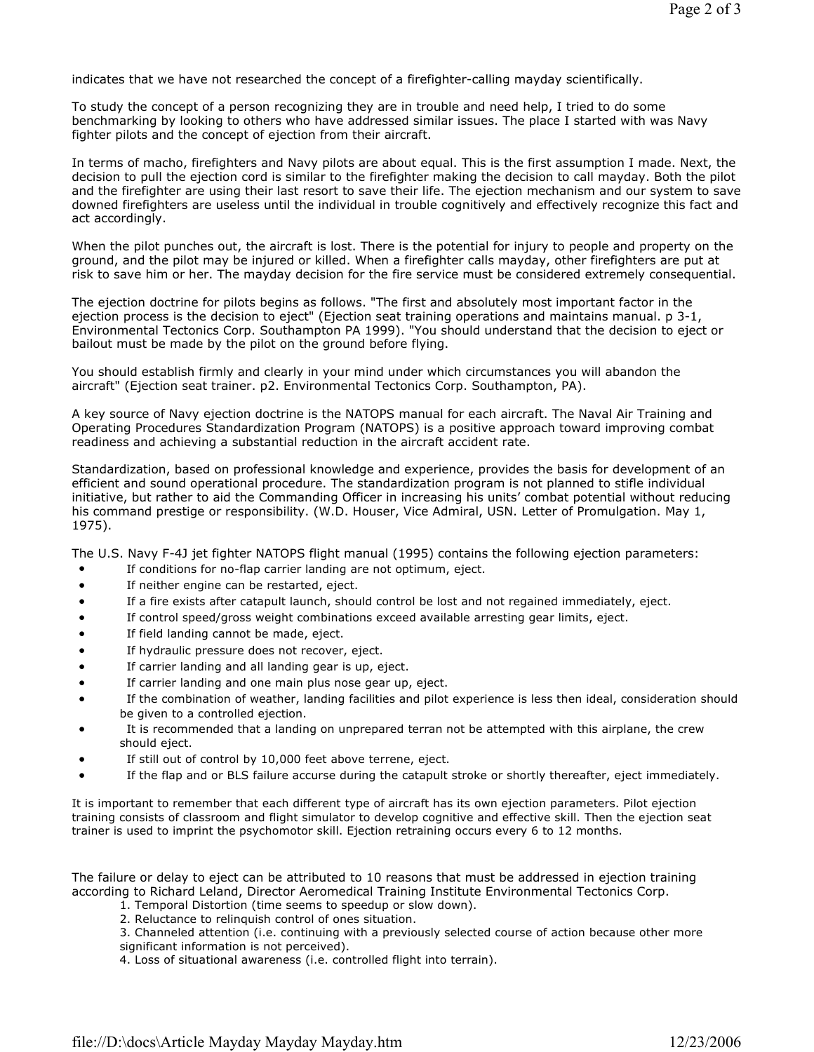indicates that we have not researched the concept of a firefighter-calling mayday scientifically.

To study the concept of a person recognizing they are in trouble and need help, I tried to do some benchmarking by looking to others who have addressed similar issues. The place I started with was Navy fighter pilots and the concept of ejection from their aircraft.

In terms of macho, firefighters and Navy pilots are about equal. This is the first assumption I made. Next, the decision to pull the ejection cord is similar to the firefighter making the decision to call mayday. Both the pilot and the firefighter are using their last resort to save their life. The ejection mechanism and our system to save downed firefighters are useless until the individual in trouble cognitively and effectively recognize this fact and act accordingly.

When the pilot punches out, the aircraft is lost. There is the potential for injury to people and property on the ground, and the pilot may be injured or killed. When a firefighter calls mayday, other firefighters are put at risk to save him or her. The mayday decision for the fire service must be considered extremely consequential.

The ejection doctrine for pilots begins as follows. "The first and absolutely most important factor in the ejection process is the decision to eject" (Ejection seat training operations and maintains manual. p 3-1, Environmental Tectonics Corp. Southampton PA 1999). "You should understand that the decision to eject or bailout must be made by the pilot on the ground before flying.

You should establish firmly and clearly in your mind under which circumstances you will abandon the aircraft" (Ejection seat trainer. p2. Environmental Tectonics Corp. Southampton, PA).

A key source of Navy ejection doctrine is the NATOPS manual for each aircraft. The Naval Air Training and Operating Procedures Standardization Program (NATOPS) is a positive approach toward improving combat readiness and achieving a substantial reduction in the aircraft accident rate.

Standardization, based on professional knowledge and experience, provides the basis for development of an efficient and sound operational procedure. The standardization program is not planned to stifle individual initiative, but rather to aid the Commanding Officer in increasing his units' combat potential without reducing his command prestige or responsibility. (W.D. Houser, Vice Admiral, USN. Letter of Promulgation. May 1, 1975).

The U.S. Navy F-4J jet fighter NATOPS flight manual (1995) contains the following ejection parameters:

- If conditions for no-flap carrier landing are not optimum, eject.
- If neither engine can be restarted, eject.
- If a fire exists after catapult launch, should control be lost and not regained immediately, eject.
- If control speed/gross weight combinations exceed available arresting gear limits, eject.
- If field landing cannot be made, eject.
- If hydraulic pressure does not recover, eject.
- If carrier landing and all landing gear is up, eject.
- If carrier landing and one main plus nose gear up, eject.
- If the combination of weather, landing facilities and pilot experience is less then ideal, consideration should be given to a controlled ejection.
- It is recommended that a landing on unprepared terran not be attempted with this airplane, the crew should eject.
- If still out of control by 10,000 feet above terrene, eject.
- If the flap and or BLS failure accurse during the catapult stroke or shortly thereafter, eject immediately.

It is important to remember that each different type of aircraft has its own ejection parameters. Pilot ejection training consists of classroom and flight simulator to develop cognitive and effective skill. Then the ejection seat trainer is used to imprint the psychomotor skill. Ejection retraining occurs every 6 to 12 months.

The failure or delay to eject can be attributed to 10 reasons that must be addressed in ejection training according to Richard Leland, Director Aeromedical Training Institute Environmental Tectonics Corp.

- 1. Temporal Distortion (time seems to speedup or slow down).
- 2. Reluctance to relinquish control of ones situation.

3. Channeled attention (i.e. continuing with a previously selected course of action because other more significant information is not perceived).

4. Loss of situational awareness (i.e. controlled flight into terrain).